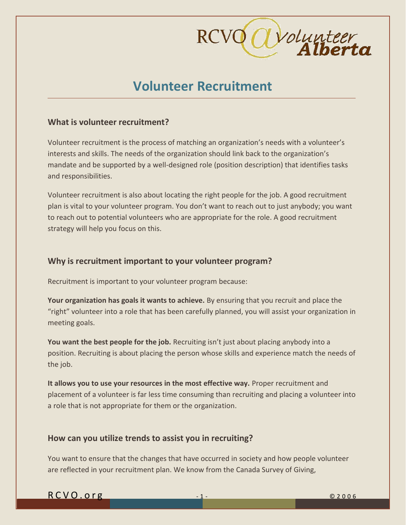

# **Volunteer Recruitment**

# **What is volunteer recruitment?**

Volunteer recruitment is the process of matching an organization's needs with a volunteer's interests and skills. The needs of the organization should link back to the organization's mandate and be supported by a well-designed role (position description) that identifies tasks and responsibilities.

Volunteer recruitment is also about locating the right people for the job. A good recruitment plan is vital to your volunteer program. You don't want to reach out to just anybody; you want to reach out to potential volunteers who are appropriate for the role. A good recruitment strategy will help you focus on this.

# **Why is recruitment important to your volunteer program?**

Recruitment is important to your volunteer program because:

**Your organization has goals it wants to achieve.** By ensuring that you recruit and place the "right" volunteer into a role that has been carefully planned, you will assist your organization in meeting goals.

**You want the best people for the job.** Recruiting isn't just about placing anybody into a position. Recruiting is about placing the person whose skills and experience match the needs of the job.

**It allows you to use your resources in the most effective way.** Proper recruitment and placement of a volunteer is far less time consuming than recruiting and placing a volunteer into a role that is not appropriate for them or the organization.

# **How can you utilize trends to assist you in recruiting?**

You want to ensure that the changes that have occurred in society and how people volunteer are reflected in your recruitment plan. We know from the Canada Survey of Giving,

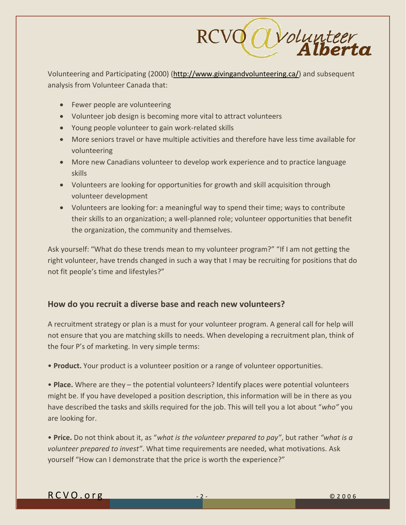

Volunteering and Participating (2000) [\(http://www.givingandvolunteering.ca/\)](http://www.givingandvolunteering.ca/) and subsequent analysis from Volunteer Canada that:

- Fewer people are volunteering
- Volunteer job design is becoming more vital to attract volunteers
- Young people volunteer to gain work-related skills
- More seniors travel or have multiple activities and therefore have less time available for volunteering
- More new Canadians volunteer to develop work experience and to practice language skills
- Volunteers are looking for opportunities for growth and skill acquisition through volunteer development
- Volunteers are looking for: a meaningful way to spend their time; ways to contribute their skills to an organization; a well-planned role; volunteer opportunities that benefit the organization, the community and themselves.

Ask yourself: "What do these trends mean to my volunteer program?" "If I am not getting the right volunteer, have trends changed in such a way that I may be recruiting for positions that do not fit people's time and lifestyles?"

# **How do you recruit a diverse base and reach new volunteers?**

A recruitment strategy or plan is a must for your volunteer program. A general call for help will not ensure that you are matching skills to needs. When developing a recruitment plan, think of the four P's of marketing. In very simple terms:

• **Product.** Your product is a volunteer position or a range of volunteer opportunities.

• **Place.** Where are they – the potential volunteers? Identify places were potential volunteers might be. If you have developed a position description, this information will be in there as you have described the tasks and skills required for the job. This will tell you a lot about "*who"* you are looking for.

• **Price.** Do not think about it, as "*what is the volunteer prepared to pay"*, but rather *"what is a volunteer prepared to invest"*. What time requirements are needed, what motivations. Ask yourself "How can I demonstrate that the price is worth the experience?"

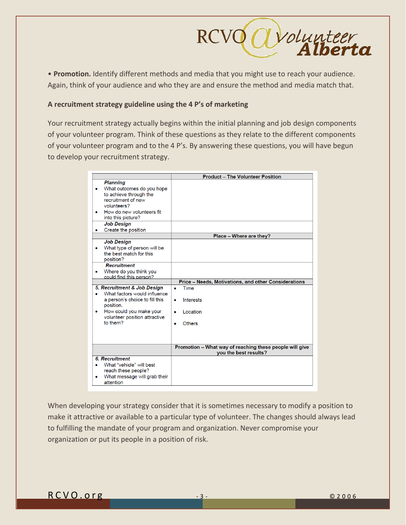

• **Promotion.** Identify different methods and media that you might use to reach your audience. Again, think of your audience and who they are and ensure the method and media match that.

#### **A recruitment strategy guideline using the 4 P's of marketing**

Your recruitment strategy actually begins within the initial planning and job design components of your volunteer program. Think of these questions as they relate to the different components of your volunteer program and to the 4 P's. By answering these questions, you will have begun to develop your recruitment strategy.

|                                                                                                                                                                                                                                                                                                                                                                                   | <b>Product - The Volunteer Position</b>                                            |
|-----------------------------------------------------------------------------------------------------------------------------------------------------------------------------------------------------------------------------------------------------------------------------------------------------------------------------------------------------------------------------------|------------------------------------------------------------------------------------|
| <b>Planning</b><br>What outcomes do you hope<br>to achieve through the<br>recruitment of new<br>volunteers?<br>How do new volunteers fit<br>into this picture?<br><b>Job Design</b><br>Create the position<br><b>Job Design</b><br>What type of person will be<br>the best match for this<br>position?<br><b>Recruitment</b><br>Where do you think you<br>could find this person? | Place - Where are they?                                                            |
|                                                                                                                                                                                                                                                                                                                                                                                   | Price - Needs, Motivations, and other Considerations                               |
| 5. Recruitment & Job Design<br>What factors would influence<br>۰<br>a person's choice to fill this<br>position.<br>How could you make your<br>۰<br>volunteer position attractive<br>to them?                                                                                                                                                                                      | Time<br>۰<br>Interests<br>$\bullet$<br>Location<br>$\bullet$<br><b>Others</b><br>٠ |
|                                                                                                                                                                                                                                                                                                                                                                                   | Promotion - What way of reaching these people will give<br>you the best results?   |
| <b>6. Recruitment</b><br>What "vehicle" will best<br>reach these people?<br>What message will grab their<br>attention                                                                                                                                                                                                                                                             |                                                                                    |

When developing your strategy consider that it is sometimes necessary to modify a position to make it attractive or available to a particular type of volunteer. The changes should always lead to fulfilling the mandate of your program and organization. Never compromise your organization or put its people in a position of risk.

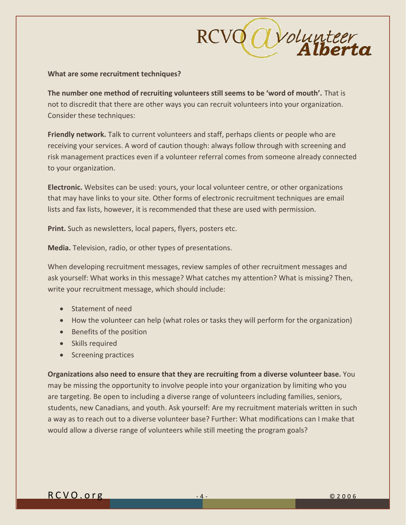

#### **What are some recruitment techniques?**

**The number one method of recruiting volunteers still seems to be 'word of mouth'.** That is not to discredit that there are other ways you can recruit volunteers into your organization. Consider these techniques:

**Friendly network.** Talk to current volunteers and staff, perhaps clients or people who are receiving your services. A word of caution though: always follow through with screening and risk management practices even if a volunteer referral comes from someone already connected to your organization.

**Electronic.** Websites can be used: yours, your local volunteer centre, or other organizations that may have links to your site. Other forms of electronic recruitment techniques are email lists and fax lists, however, it is recommended that these are used with permission.

**Print.** Such as newsletters, local papers, flyers, posters etc.

**Media.** Television, radio, or other types of presentations.

When developing recruitment messages, review samples of other recruitment messages and ask yourself: What works in this message? What catches my attention? What is missing? Then, write your recruitment message, which should include:

- Statement of need
- How the volunteer can help (what roles or tasks they will perform for the organization)
- Benefits of the position
- Skills required
- Screening practices

**Organizations also need to ensure that they are recruiting from a diverse volunteer base.** You may be missing the opportunity to involve people into your organization by limiting who you are targeting. Be open to including a diverse range of volunteers including families, seniors, students, new Canadians, and youth. Ask yourself: Are my recruitment materials written in such a way as to reach out to a diverse volunteer base? Further: What modifications can I make that would allow a diverse range of volunteers while still meeting the program goals?